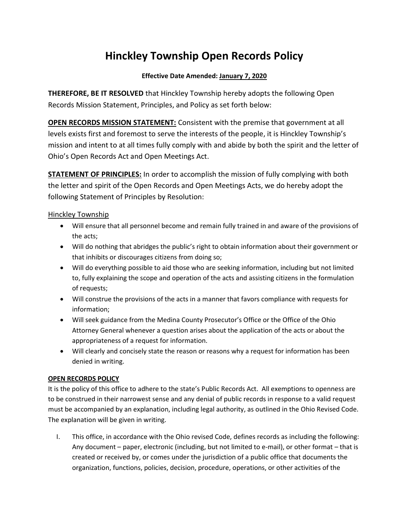## Hinckley Township Open Records Policy

## Effective Date Amended: January 7, 2020

THEREFORE, BE IT RESOLVED that Hinckley Township hereby adopts the following Open Records Mission Statement, Principles, and Policy as set forth below:

OPEN RECORDS MISSION STATEMENT: Consistent with the premise that government at all levels exists first and foremost to serve the interests of the people, it is Hinckley Township's mission and intent to at all times fully comply with and abide by both the spirit and the letter of Ohio's Open Records Act and Open Meetings Act.

**STATEMENT OF PRINCIPLES:** In order to accomplish the mission of fully complying with both the letter and spirit of the Open Records and Open Meetings Acts, we do hereby adopt the following Statement of Principles by Resolution:

## Hinckley Township

- Will ensure that all personnel become and remain fully trained in and aware of the provisions of the acts;
- Will do nothing that abridges the public's right to obtain information about their government or that inhibits or discourages citizens from doing so;
- Will do everything possible to aid those who are seeking information, including but not limited to, fully explaining the scope and operation of the acts and assisting citizens in the formulation of requests;
- Will construe the provisions of the acts in a manner that favors compliance with requests for information;
- Will seek guidance from the Medina County Prosecutor's Office or the Office of the Ohio Attorney General whenever a question arises about the application of the acts or about the appropriateness of a request for information.
- Will clearly and concisely state the reason or reasons why a request for information has been denied in writing.

## OPEN RECORDS POLICY

It is the policy of this office to adhere to the state's Public Records Act. All exemptions to openness are to be construed in their narrowest sense and any denial of public records in response to a valid request must be accompanied by an explanation, including legal authority, as outlined in the Ohio Revised Code. The explanation will be given in writing.

I. This office, in accordance with the Ohio revised Code, defines records as including the following: Any document – paper, electronic (including, but not limited to e-mail), or other format – that is created or received by, or comes under the jurisdiction of a public office that documents the organization, functions, policies, decision, procedure, operations, or other activities of the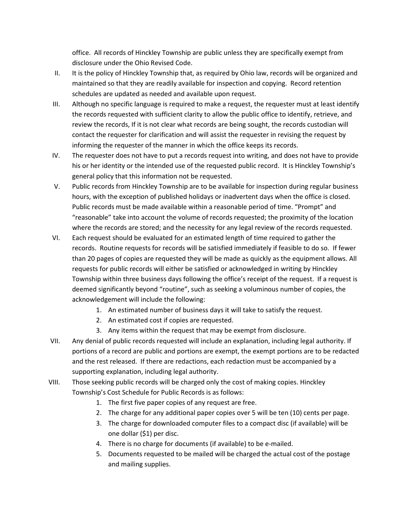office. All records of Hinckley Township are public unless they are specifically exempt from disclosure under the Ohio Revised Code.

- II. It is the policy of Hinckley Township that, as required by Ohio law, records will be organized and maintained so that they are readily available for inspection and copying. Record retention schedules are updated as needed and available upon request.
- III. Although no specific language is required to make a request, the requester must at least identify the records requested with sufficient clarity to allow the public office to identify, retrieve, and review the records, If it is not clear what records are being sought, the records custodian will contact the requester for clarification and will assist the requester in revising the request by informing the requester of the manner in which the office keeps its records.
- IV. The requester does not have to put a records request into writing, and does not have to provide his or her identity or the intended use of the requested public record. It is Hinckley Township's general policy that this information not be requested.
- V. Public records from Hinckley Township are to be available for inspection during regular business hours, with the exception of published holidays or inadvertent days when the office is closed. Public records must be made available within a reasonable period of time. "Prompt" and "reasonable" take into account the volume of records requested; the proximity of the location where the records are stored; and the necessity for any legal review of the records requested.
- VI. Each request should be evaluated for an estimated length of time required to gather the records. Routine requests for records will be satisfied immediately if feasible to do so. If fewer than 20 pages of copies are requested they will be made as quickly as the equipment allows. All requests for public records will either be satisfied or acknowledged in writing by Hinckley Township within three business days following the office's receipt of the request. If a request is deemed significantly beyond "routine", such as seeking a voluminous number of copies, the acknowledgement will include the following:
	- 1. An estimated number of business days it will take to satisfy the request.
	- 2. An estimated cost if copies are requested.
	- 3. Any items within the request that may be exempt from disclosure.
- VII. Any denial of public records requested will include an explanation, including legal authority. If portions of a record are public and portions are exempt, the exempt portions are to be redacted and the rest released. If there are redactions, each redaction must be accompanied by a supporting explanation, including legal authority.
- VIII. Those seeking public records will be charged only the cost of making copies. Hinckley Township's Cost Schedule for Public Records is as follows:
	- 1. The first five paper copies of any request are free.
	- 2. The charge for any additional paper copies over 5 will be ten (10) cents per page.
	- 3. The charge for downloaded computer files to a compact disc (if available) will be one dollar (\$1) per disc.
	- 4. There is no charge for documents (if available) to be e-mailed.
	- 5. Documents requested to be mailed will be charged the actual cost of the postage and mailing supplies.